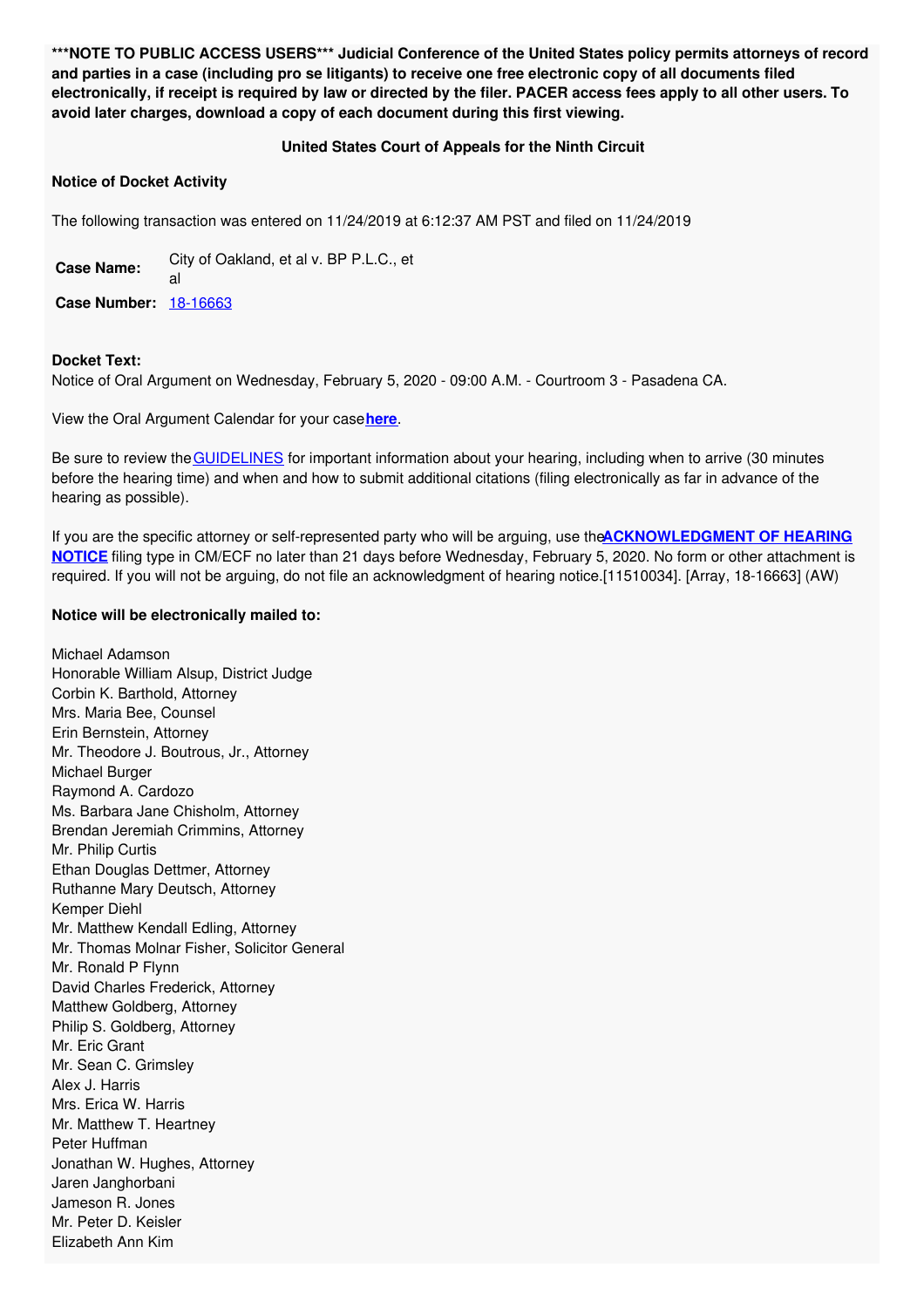**\*\*\*NOTE TO PUBLIC ACCESS USERS\*\*\* Judicial Conference of the United States policy permits attorneys of record** and parties in a case (including pro se litigants) to receive one free electronic copy of all documents filed electronically, if receipt is required by law or directed by the filer. PACER access fees apply to all other users. To **avoid later charges, download a copy of each document during this first viewing.**

## **United States Court of Appeals for the Ninth Circuit**

## **Notice of Docket Activity**

The following transaction was entered on 11/24/2019 at 6:12:37 AM PST and filed on 11/24/2019

**Case Name:** City of Oakland, et al v. BP P.L.C., et al **Case Number:** [18-16663](https://ecf.ca9.uscourts.gov/n/beam/servlet/TransportRoom?servlet=DocketReportFilter.jsp&caseId=304946)

## **Docket Text:**

Notice of Oral Argument on Wednesday, February 5, 2020 - 09:00 A.M. - Courtroom 3 - Pasadena CA.

View the Oral Argument Calendar for your case**[here](http://www.ca9.uscourts.gov/calendar/view.php?caseno=18-16663)**.

Be sure to review the [GUIDELINES](http://cdn.ca9.uscourts.gov/datastore/uploads/forms/hearing_notice/ntc_hear.pdf) for important information about your hearing, including when to arrive (30 minutes before the hearing time) and when and how to submit additional citations (filing electronically as far in advance of the hearing as possible).

If you are the specific attorney or self-represented party who will be arguing, use the**[ACKNOWLEDGMENT](http://www.ca9.uscourts.gov/calendar/info.php?view=Forms) OF HEARING NOTICE** filing type in CM/ECF no later than 21 days before Wednesday, February 5, 2020. No form or other attachment is required. If you will not be arguing, do not file an acknowledgment of hearing notice.[11510034]. [Array, 18-16663] (AW)

## **Notice will be electronically mailed to:**

Michael Adamson Honorable William Alsup, District Judge Corbin K. Barthold, Attorney Mrs. Maria Bee, Counsel Erin Bernstein, Attorney Mr. Theodore J. Boutrous, Jr., Attorney Michael Burger Raymond A. Cardozo Ms. Barbara Jane Chisholm, Attorney Brendan Jeremiah Crimmins, Attorney Mr. Philip Curtis Ethan Douglas Dettmer, Attorney Ruthanne Mary Deutsch, Attorney Kemper Diehl Mr. Matthew Kendall Edling, Attorney Mr. Thomas Molnar Fisher, Solicitor General Mr. Ronald P Flynn David Charles Frederick, Attorney Matthew Goldberg, Attorney Philip S. Goldberg, Attorney Mr. Eric Grant Mr. Sean C. Grimsley Alex J. Harris Mrs. Erica W. Harris Mr. Matthew T. Heartney Peter Huffman Jonathan W. Hughes, Attorney Jaren Janghorbani Jameson R. Jones Mr. Peter D. Keisler Elizabeth Ann Kim